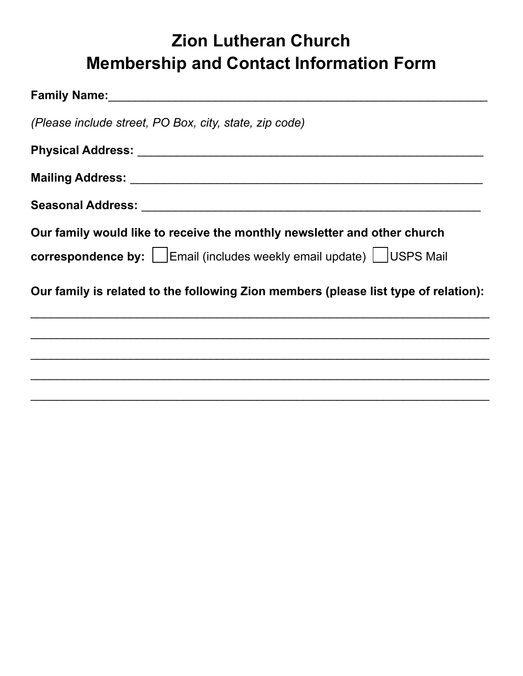# **Zion Lutheran Church Membership and Contact Information Form**

| (Please include street, PO Box, city, state, zip code)                              |
|-------------------------------------------------------------------------------------|
|                                                                                     |
|                                                                                     |
|                                                                                     |
| Our family would like to receive the monthly newsletter and other church            |
| <b>correspondence by:</b>   Email (includes weekly email update)   USPS Mail        |
| Our family is related to the following Zion members (please list type of relation): |
|                                                                                     |
|                                                                                     |
|                                                                                     |
|                                                                                     |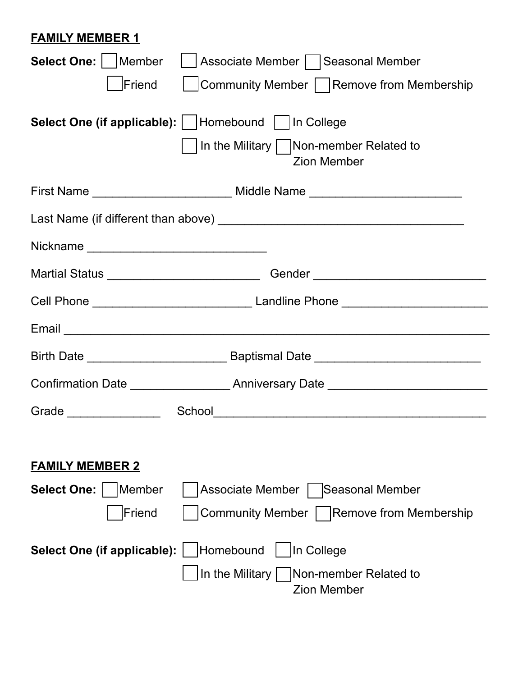#### **FAMILY MEMBER 1**

| Select One:     Member<br>Associate Member   Seasonal Member                                                                                                                                                                   |                                             |  |
|--------------------------------------------------------------------------------------------------------------------------------------------------------------------------------------------------------------------------------|---------------------------------------------|--|
| Friend                                                                                                                                                                                                                         | Community Member   Remove from Membership   |  |
| <b>Select One (if applicable):</b>   Homebound     In College<br>  In the Military     Non-member Related to                                                                                                                   | <b>Zion Member</b>                          |  |
|                                                                                                                                                                                                                                |                                             |  |
|                                                                                                                                                                                                                                |                                             |  |
|                                                                                                                                                                                                                                |                                             |  |
| Martial Status ________________________________Gender __________________________                                                                                                                                               |                                             |  |
|                                                                                                                                                                                                                                |                                             |  |
| Email experience and the contract of the contract of the contract of the contract of the contract of the contract of the contract of the contract of the contract of the contract of the contract of the contract of the contr |                                             |  |
|                                                                                                                                                                                                                                |                                             |  |
|                                                                                                                                                                                                                                |                                             |  |
| Grade ________________                                                                                                                                                                                                         |                                             |  |
|                                                                                                                                                                                                                                |                                             |  |
| <b>FAMILY MEMBER 2</b>                                                                                                                                                                                                         |                                             |  |
| Select One:  <br>Member<br><b>Associate Member</b>                                                                                                                                                                             | Seasonal Member                             |  |
| Friend                                                                                                                                                                                                                         | Community Member     Remove from Membership |  |
| Homebound<br>In College<br>Select One (if applicable):                                                                                                                                                                         |                                             |  |
| In the Military $ $                                                                                                                                                                                                            | Non-member Related to<br><b>Zion Member</b> |  |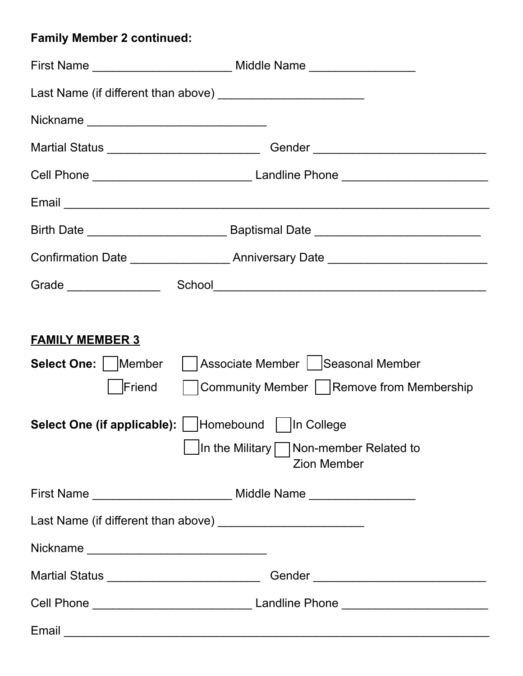## **Family Member 2 continued:**

|                                                                                                                                                                                                                                                                                                   | Martial Status _______________________________Gender ___________________________                                                                                                                                               |  |
|---------------------------------------------------------------------------------------------------------------------------------------------------------------------------------------------------------------------------------------------------------------------------------------------------|--------------------------------------------------------------------------------------------------------------------------------------------------------------------------------------------------------------------------------|--|
|                                                                                                                                                                                                                                                                                                   |                                                                                                                                                                                                                                |  |
|                                                                                                                                                                                                                                                                                                   | Email experience and the set of the set of the set of the set of the set of the set of the set of the set of the set of the set of the set of the set of the set of the set of the set of the set of the set of the set of the |  |
|                                                                                                                                                                                                                                                                                                   |                                                                                                                                                                                                                                |  |
|                                                                                                                                                                                                                                                                                                   | Confirmation Date ________________________Anniversary Date _____________________                                                                                                                                               |  |
|                                                                                                                                                                                                                                                                                                   |                                                                                                                                                                                                                                |  |
| <b>FAMILY MEMBER 3</b><br>Select One: Member     Associate Member     Seasonal Member<br>Community Member   Remove from Membership<br>Friend<br><b>Select One (if applicable):</b>   Homebound    In College<br>$\vert$ In the Military $\vert \vert$ Non-member Related to<br><b>Zion Member</b> |                                                                                                                                                                                                                                |  |
|                                                                                                                                                                                                                                                                                                   |                                                                                                                                                                                                                                |  |
|                                                                                                                                                                                                                                                                                                   |                                                                                                                                                                                                                                |  |
|                                                                                                                                                                                                                                                                                                   |                                                                                                                                                                                                                                |  |
|                                                                                                                                                                                                                                                                                                   | Martial Status __________________________________Gender ________________________                                                                                                                                               |  |
|                                                                                                                                                                                                                                                                                                   |                                                                                                                                                                                                                                |  |
| Email                                                                                                                                                                                                                                                                                             |                                                                                                                                                                                                                                |  |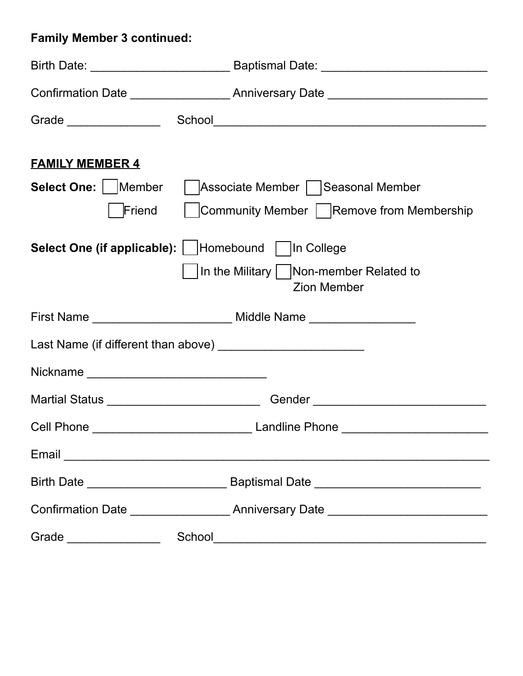## **Family Member 3 continued:**

|                                                                                                                                                                                                                                | Confirmation Date _______________________Anniversary Date ______________________ |  |
|--------------------------------------------------------------------------------------------------------------------------------------------------------------------------------------------------------------------------------|----------------------------------------------------------------------------------|--|
|                                                                                                                                                                                                                                |                                                                                  |  |
| <b>FAMILY MEMBER 4</b><br>Select One:   Member                                                                                                                                                                                 | Associate Member   Seasonal Member                                               |  |
| Friend                                                                                                                                                                                                                         | Community Member   Remove from Membership                                        |  |
| Select One (if applicable):   Homebound   In College                                                                                                                                                                           |                                                                                  |  |
|                                                                                                                                                                                                                                | In the Military   Non-member Related to<br><b>Zion Member</b>                    |  |
|                                                                                                                                                                                                                                |                                                                                  |  |
|                                                                                                                                                                                                                                |                                                                                  |  |
|                                                                                                                                                                                                                                |                                                                                  |  |
|                                                                                                                                                                                                                                | Martial Status ___________________________________Gender _______________________ |  |
|                                                                                                                                                                                                                                |                                                                                  |  |
| Email experience and the contract of the contract of the contract of the contract of the contract of the contract of the contract of the contract of the contract of the contract of the contract of the contract of the contr |                                                                                  |  |
|                                                                                                                                                                                                                                |                                                                                  |  |
|                                                                                                                                                                                                                                | Confirmation Date _______________________Anniversary Date ______________________ |  |
|                                                                                                                                                                                                                                |                                                                                  |  |